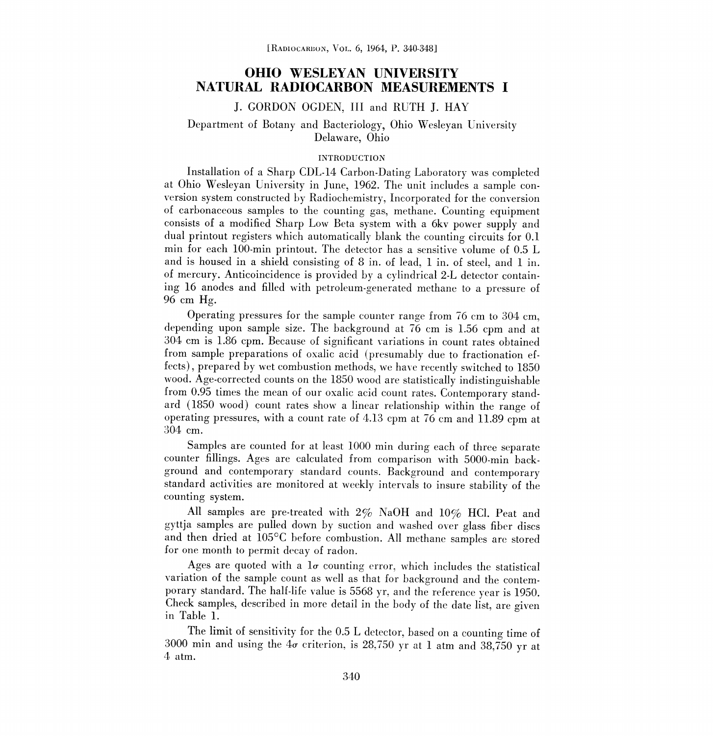### OHIO WESLEYAN UNIVERSITY NATURAL RADIOCARBON MEASUREMENTS I

### J. GORDON OGDEN, III and RUTH J. HAY

### Department of Botany and Bacteriology, Ohio Wesleyan University Delaware, Ohio

#### INTRODUCTION

Installation of a Sharp CDL-14 Carbon-Dating Laboratory was completed at Ohio Wesleyan University in June, 1962. The unit includes a sample con version system constructed by Radiochemistry, Incorporated for the conversion of carbonaceous samples to the counting gas, methane. Counting equipment consists of a modified Sharp Low Beta system with a 6kv power supply and dual printout registers which automatically blank the counting circuits for 0.1 min for each 100-min printout. The detector has a sensitive volume of 0.5 L and is housed in a shield consisting of 8 in, of lead, 1 in. of steel, and 1 in. of mercury. Anticoincidence is provided by a cylindrical 2-L detector containing 16 anodes and filled with petroleum-generated methane to a pressure of 96 cm Hg.

Operating pressures for the sample counter range from 76 cm to 304 cm, depending upon sample size. The background at 76 cm is 1.56 cpm and at 304 cm is 1.86 cpm. Because of significant variations in count rates obtained from sample preparations of oxalic acid (presumably due to fractionation effects), prepared by wet combustion methods, we have recently switched to 1850 wood. Age-corrected counts on the 1850 wood are statistically indistinguishable from 0.95 times the mean of our oxalic acid count rates. Contemporary standard (1850 wood) count rates show a linear relationship within the range of operating pressures, with a count rate of 4.13 cpm at 76 cm and 11.89 cpm at 304 cm.

Samples are counted for at least 1000 min during each of three separate counter fillings. Ages are calculated from comparison with 5000-min background and contemporary standard counts. Background and contemporary standard activities are monitored at weekly intervals to insure stability of the counting system.

All samples are pre-treated with 2% NaOH and 10% HCI. Peat and gyttja samples are pulled down by suction and washed over glass fiber discs and then dried at 105°C before combustion. All methane samples are stored for one month to permit decay of radon.

Ages are quoted with a  $l\sigma$  counting error, which includes the statistical variation of the sample count as well as that for background and the contemporary standard. The half-life value is 5568 yr, and the reference year is 1950. Check samples, described in more detail in the body of the date list, are given in Table 1.

The limit of sensitivity for the 0.5 L detector, based on a counting time of 3000 min and using the  $4\sigma$  criterion, is 28,750 yr at 1 atm and 38,750 yr at 4 atm.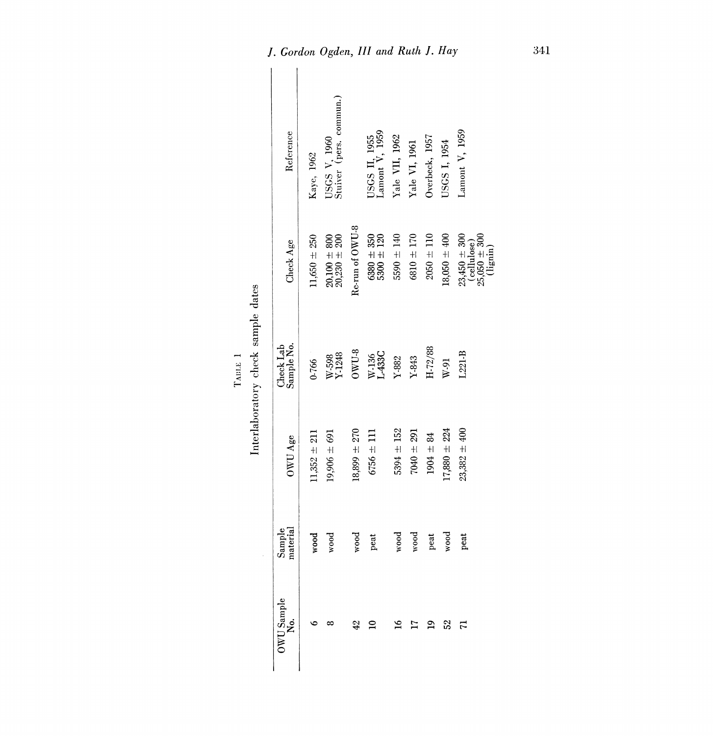| ÷.<br>×,<br>l<br>٤ |  |
|--------------------|--|

|                                    | Reference               | Kaye, 1962       | USGS V, 1960<br>Stuiver (pers. commun.)                                     |                  | USGS II, 1955<br>Lamont V, 1959                             | Yale VII, 1962        | Yale VI, 1961           | Overbeck, 1957  | USGS I, 1954     | Lamont V, 1959                                                                                                                            |
|------------------------------------|-------------------------|------------------|-----------------------------------------------------------------------------|------------------|-------------------------------------------------------------|-----------------------|-------------------------|-----------------|------------------|-------------------------------------------------------------------------------------------------------------------------------------------|
|                                    | Check Age               | $11,650 \pm 250$ | $\begin{array}{c} 20.100 \, \pm \, 800 \\ 20.230 \, \pm \, 200 \end{array}$ | Re-run of OWU-8  | $\begin{array}{c} 6380 \pm 350 \\ 5300 \pm 120 \end{array}$ | $5590 \pm 140$        | $6810 \pm 170$          | $2050 \pm 110$  | $18,050 \pm 400$ | $\begin{array}{c} 23{,}450 \, \pm \, 300 \\ (\text{cellulose}) \\ 25{,}050 \, \pm \, 300 \\ (\text{light}) \\ (\text{light}) \end{array}$ |
| Interlaboratory check sample dates | Sample No.<br>Check Lab | 0-766            | $W-598$<br>Y 1248                                                           | $_{\rm OVU-8}$   | W-136<br>L-433C                                             | $\Upsilon\text{-}882$ | $\mathbf{Y}\text{-}843$ | $\rm H$ $72/88$ | W-91             | $L221-B$                                                                                                                                  |
|                                    | OWU Age                 | $11,352 + 211$   | $19,906 \pm 691$                                                            | $18,899 \pm 270$ | $6756 \pm 111$                                              | $5394 \pm 152$        | $7040 \pm 291$          | $1904 \pm 84$   | $17,880 \pm 224$ | $23,382 + 400$                                                                                                                            |
|                                    | Sample<br>material      | wood             | wood                                                                        | wood             | peat                                                        | wood                  | wood                    | peat            | wood             | peat                                                                                                                                      |
|                                    | $0WU$ Sample<br>No.     |                  |                                                                             | 42               | ≘                                                           | $\frac{8}{10}$        | ⋍                       | $\mathbf{a}$    | 52               | $\overline{r}$                                                                                                                            |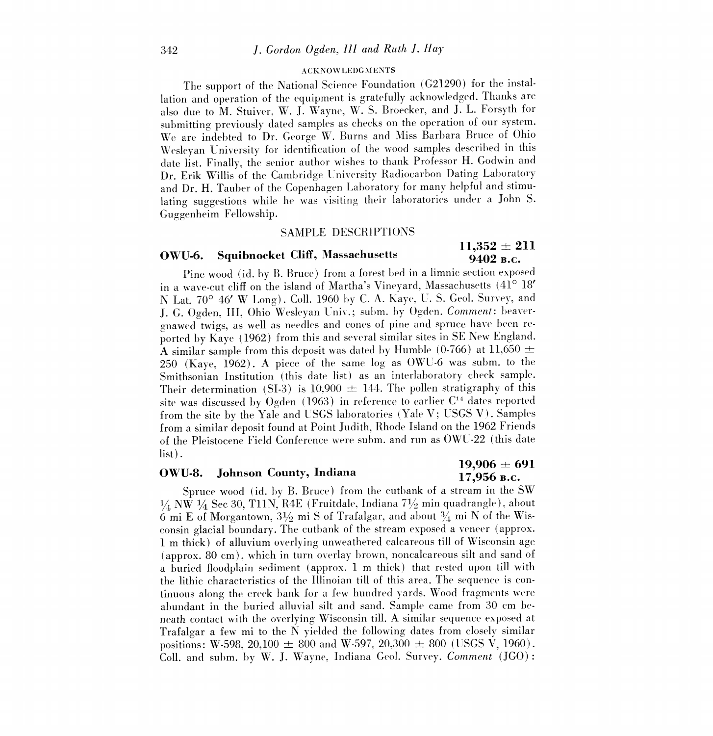#### ACKNOWLEDGMENTS

The support of the National Science Foundation (G21290) for the installation and operation of the equipment is gratefully acknowledged. Thanks are also due to M. Stuiver, W. J. Wayne, W. S. Broecker, and J. L. Forsyth for submitting previously dated samples as checks on the operation of our system. We are indebted to Dr. George W. Burns and Miss Barbara Bruce of Ohio Wesleyan University for identification of the wood samples described in this date list. Finally, the senior author wishes to thank Professor H. Godwin and Dr. Erik Willis of the Cambridge University Radiocarbon Dating Laboratory and Dr. H. Tauber of the Copenhagen Laboratory for many helpful and stimulating suggestions while he was visiting their laboratories under a John S. Guggenheim Fellowship.

### SAMPLE DESCRIPTIONS

# 9402 B.C.

## OWU-6. Squibnocket Cliff, Massachusetts  $\begin{array}{cc} 11,352 \pm 211 \ 0.409 \text{ K} \end{array}$

Pine wood (id. by B. Bruce) from a forest bed in a limnic section exposed in a wave-cut cliff on the island of Martha's Vineyard, Massachusetts (41° 18' N Lat, 70° 46' W Long). Coll. 1960 by C. A. Kaye, U. S. Geol. Survey, and J. G. Ogden, III, Ohio Wesleyan Univ.; subm. by Ogden. Comment: beavergnawed twigs, as well as needles and cones of pine and spruce have been re ported by Kaye (1962) from this and several similar sites in SE New England. A similar sample from this deposit was dated by Humble (0-766) at 11,650  $\pm$ 250 (Kaye, 1962). A piece of the same log as OWU-6 was subm, to the Smithsonian Institution (this date list) as an interlaboratory check sample. Their determination (SI-3) is 10,900  $\pm$  144. The pollen stratigraphy of this site was discussed by Ogden (1963) in reference to earlier C'4 dates reported from the site by the Yale and USGS laboratories (Yale V; USGS V). Samples from a similar deposit found at Point Judith, Rhode Island on the 1962 Friends of the Pleistocene Field Conference were subm. and run as OWU -22 (this date list).

## 19,906  $\pm$  691  $0$ WU-8. Johnson County, Indiana  $\qquad \qquad 17,956$  B.c.

Spruce wood (id. by B. Bruce) from the cutbank of a stream in the SW  $1/4$  NW  $1/4$  Sec 30, T11N, R4E (Fruitdale, Indiana 71/2 min quadrangle), about 6 mi E of Morgantown,  $3\frac{1}{2}$  mi S of Trafalgar, and about  $\frac{3}{4}$  mi N of the Wisconsin glacial boundary. The cutbank of the stream exposed a veneer (approx. <sup>1</sup>m thick) of alluvium overlying unweathered calcareous till of Wisconsin age (approx. 80 em), which in turn overlay brown, noncalcareous silt and sand of a buried floodplain sediment (approx. 1 m thick) that rested upon till with the lithic characteristics of the Illinoian till of this area. The sequence is con tinuous along the creek bank for a few hundred yards. Wood fragments were abundant in the buried alluvial silt and sand. Sample came from 30 cm beneath contact with the overlying Wisconsin till. A similar sequence exposed at Trafalgar a few mi to the N yielded the following dates from closely similar positions: W-598, 20,100  $\pm$  800 and W-597, 20,300  $\pm$  800 (USGS V, 1960). Coll. and subm, by W. J. Wayne, Indiana Geol. Survey. *Comment* (JGO):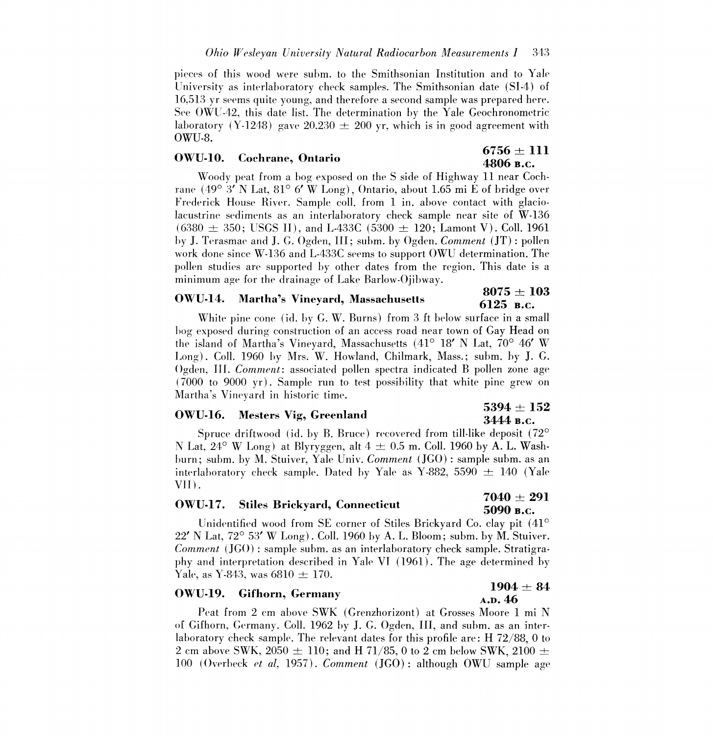pieces of this wood were subm. to the Smithsonian Institution and to Yale University as interlaboratory check samples. The Smithsonian date (SI-4) of 16,513 yr seems quite young, and therefore a second sample was prepared here. See OWU-42, this date list. The determination by the Yale Geochronometric laboratory (Y-1248) gave 20,230  $\pm$  200 yr, which is in good agreement with OWU-8.

# OWU-10. Cochrane, Ontario 6756  $\pm$  111 4806 B.c.

Woody peat from a bog exposed on the S side of Highway 11 near Cochrane (49° 3' N Lat, 81° 6' W Long), Ontario, about 1.65 mi E of bridge over Frederick House River. Sample coll. from 1 in, above contact with glaciolacustrine sediments as an interlaboratory check sample near site of W-136  $(6380 \pm 350; \text{USGS II})$ , and L-433C  $(5300 \pm 120; \text{Lamont V})$ . Coll. 1961 by J. Terasmae and J. G. Ogden, III; subm. by Ogden. Comment (JT) : pollen work done since W-136 and L-4330 seems to support OWU determination. The pollen studies are supported by other dates from the region. This date is a minimum age for the drainage of Lake Barlow-Ojibway.

### OWU-14. Martha's Vineyard, Massachusetts  $5075 \pm 103$

## 6125 в.с.

White pine cone (id. by G. W. Burns) from 3 ft below surface in a small bog exposed during construction of an access road near town of Gay Head on the island of Martha's Vineyard, Massachusetts (41° 18' N Lat, 70° 46' W Long). Coll. 1960 by Mrs. W. Howland, Chilmark, Mass.; subm. by J. G. Ogden, III. Comment: associated pollen spectra indicated B pollen zone age (7000 to 9000 yr). Sample run to test possibility that white pine grew on Martha's Vineyard in historic time.<br>5394 + 152 Martha's Vineyard in historic time.<br>
OWU-16. Mesters Vig, Greenland.  $\frac{5394 \pm 152}{3444 \text{ B.c.}}$ 

Spruce driftwood (id. by B. Bruce) recovered from till-like deposit (72° N Lat,  $24^{\circ}$  W Long) at Blyryggen, alt  $4 \pm 0.5$  m. Coll. 1960 by A. L. Washburn; subm. by M. Stuiver, Yale Univ. Comment (JGO) : sample subm. as an interlaboratory check sample. Dated by Yale as Y-882, 5590  $\pm$  140 (Yale VII).

### OWU-17. Stiles Brickyard, Connecticut  $7040 \pm 291$

# 5090 s.c.

Unidentified wood from SE corner of Stiles Brickyard Co. clay pit (41°  $22'$  N Lat,  $72^{\circ}$  53' W Long). Coll. 1960 by A. L. Bloom; subm. by M. Stuiver. Comment (JGO) : sample subm. as an interlaboratory check sample. Stratigraphy and interpretation described in Yale VI (1961). The age determined by Yale, as Y-843, was  $6810 \pm 170$ .

## OWU-19. Gifhorn, Germany 1904  $\pm 84$   $\overline{)4.004} \pm 84$

Peat from 2 cm above SWK (Grenzhorizont) at Grosses Moore 1 mi N of Gifhorn, Germany. Coll. 1962 by J. G. Ogden, III, and subm. as an interlaboratory check sample. The relevant dates for this profile are: H 72/88, 0 to 2 cm above SWK, 2050  $\pm$  110; and H 71/85, 0 to 2 cm below SWK, 2100  $\pm$ 100 (Overbeck et al, 1957). Comment (JGO) : although OWU sample age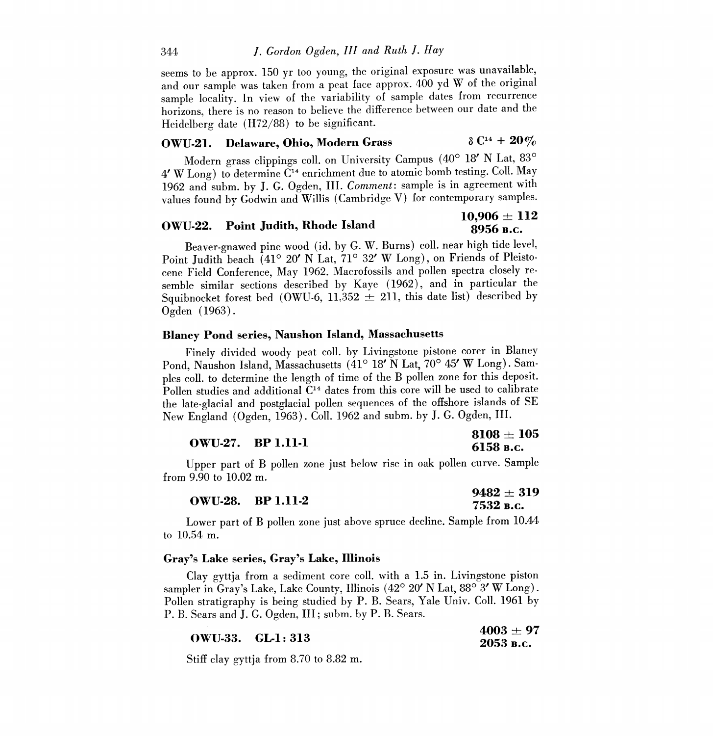seems to be approx. 150 yr too young, the original exposure was unavailable, and our sample was taken from a peat face approx. 400 yd W of the original sample locality. In view of the variability of sample dates from recurrence horizons, there is no reason to believe the difference between our date and the Heidelberg date (H72/88) to be significant.

#### OWU-21. Delaware, Ohio, Modern Grass  $\delta C^{14} + 20\%$

Modern grass clippings coll, on University Campus (40° 18' N Lat, 83°  $4'$  W Long) to determine  $C<sup>14</sup>$  enrichment due to atomic bomb testing. Coll. May 1962 and subm. by J. G. Ogden, III. Comment: sample is in agreement with values found by Godwin and Willis (Cambridge V) for contemporary samples.

## $\overline{\text{OWU-22.}}$  Point Judith, Rhode Island 10,906  $\pm$  112

## 8956 B.C.

Beaver-gnawed pine wood (id. by G. W. Burns) coll. near high tide level,<br>Point Judith beach (41° 20' N Lat, 71° 32' W Long), on Friends of Pleistocene Field Conference, May 1962. Macrofossils and pollen spectra closely resemble similar sections described by Kaye (1962), and in particular the Squibnocket forest bed (OWU-6, 11,352  $\pm$  211, this date list) described by Ogden (1963).

### Blaney Pond series, Naushon Island, Massachusetts

Finely divided woody peat coll. by Livingstone pistone corer in Blaney Pond, Naushon Island, Massachusetts (41° 18' N Lat, 70° 45' W Long). Samples coll, to determine the length of time of the B pollen zone for this deposit. Pollen studies and additional  $C<sup>14</sup>$  dates from this core will be used to calibrate the late-glacial and postglacial pollen sequences of the offshore islands of SE New England (Ogden, 1963). Coil, 1962 and subm. by J. G. Ogden, III.

|                          | $\textcolor{red}{\mathbf{8108} \pm \textcolor{red}{\mathbf{105}}}$ |
|--------------------------|--------------------------------------------------------------------|
| <b>OWU-27.</b> BP 1.11-1 | 6158 в.с.                                                          |

Upper part of B pollen zone just below rise in oak pollen curve. Sample from 9.90 to 10.02 m.

|                          | $9482 \pm 319$ |
|--------------------------|----------------|
| <b>OWU-28.</b> BP 1.11-2 | 7532 в.с.      |

Lower part of B pollen zone just above spruce decline. Sample from 10.44 to 10.54 m.

### Gray's Lake series, Gray's Lake, Illinois

Clay gyttja from a sediment core coll, with a 1.5 in. Livingstone piston sampler in Gray's Lake, Lake County, Illinois  $(42^{\circ} 20' N \text{ Lat}, 88^{\circ} 3' W \text{ Long})$ . Pollen stratigraphy is being studied by P. B. Sears, Yale Univ. Coll. 1961 by P. B. Sears and J. G. Ogden, III; subm. by P. B. Sears.

|                  | $4003 + 97$ |
|------------------|-------------|
| OWU-33. GL-1:313 | 2053 в.с.   |

Stiff clay gyttja from 8.70 to 8.82 m.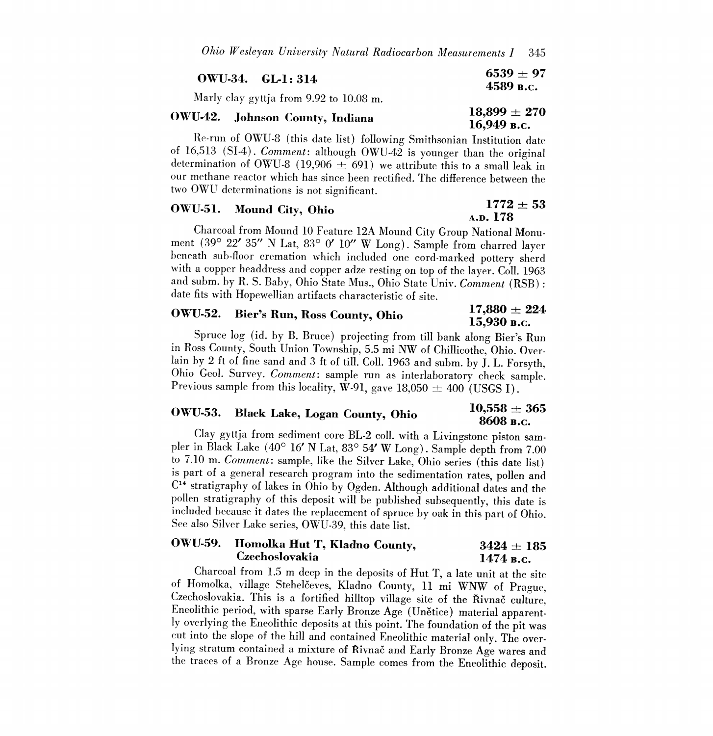| $\rm_0WU-34. \quad GL1:314$             | $6539 \pm 97$<br>4589 в.с. |
|-----------------------------------------|----------------------------|
| Marly clay gyttja from 9.92 to 10.08 m. | $10.000 + 070$             |

### $0WU42.$  Johnson County, Indiana  $18,899 \pm 270$ 16,949 B.C.

Re-run of OWU-8 (this date list) following Smithsonian Institution date of 16,513 (SI-4). *Comment*: although OWU-42 is younger than the original determination of OWU-8 (19,906  $\pm$  691) we attribute this to a small leak in our methane reactor which has since been rectified. The difference between the two OWU determinations is not significant.

### OWU-51. Mound City, Ohio  $1772 \pm 53$

A.D. 178

Charcoal from Mound 10 Feature 12A Mound City Group National Monument (39° 22' 35" N Lat, 83° 0' 10" W Long). Sample from charred layer beneath sub-floor cremation which included one cord-marked pottery sherd with a copper headdress and copper adze resting on top of the layer. Coll.1963 and subm. by R. S. Baby, Ohio State Mus., Ohio State Univ. Comment (RSB) : date fits with Hopewellian artifacts characteristic of site.

### OWU-52. Bier's Run, Ross County, Ohio  $\frac{17,880 \pm 224}{15,030}$ 15,930 B.C.

Spruce log (id. by B. Bruce) projecting from till bank along Bier's Run in Ross County, South Union Township, 5.5 mi NW of Chillicothe, Ohio. Overlain by 2 ft of fine sand and 3 ft of till. Coll. 1963 and subm. by J. L. Forsyth, Ohio Geol. Survey. *Comment*: sample run as interlaboratory check sample. Previous sample from this locality, W-91, gave 18,050  $\pm$  400 (

## OWU-53. Black Lake, Logan County, Ohio  $\begin{array}{r} 10,558 \pm 365 \ 8608 \text{ g.c.} \end{array}$

Clay gyttja from sediment core BL-2 coll. with a Livingstone piston sam-<br>pler in Black Lake (40° 16' N Lat, 83° 54' W Long). Sample depth from 7.00 to 7.10 m. Comment: sample, like the Silver Lake, Ohio series (this date list) is part of a general research program into the sedimentation rates, pollen and  $C<sup>14</sup>$  stratigraphy of lakes in Ohio by Ogden. Although additional dates and the pollen stratigraphy of this deposit will be published subsequently, this date is included because it dates the replacement of spruce by oak in this part of Ohio. See also Silver Lake series, OWU-39, this date list.

### OWU-59. Homolka Hut T, Kladno County,  $3424 \pm 185$ <br>Czechoslovakia 1474 B.C. Czechoslovakia

Charcoal from 1.5 m deep in the deposits of Hut T, a late unit at the site of Homolka, village Stehelceves, Kladno County, 11 mi WNW of Prague, Czechoslovakia. This is a fortified hilltop village site of the Řivnač culture, Eneolithic period, with sparse Early Bronze Age (Unětice) material apparently overlying the Eneolithic deposits at this point. The foundation the traces of a Bronze Age house. Sample comes from the Eneolithic deposit.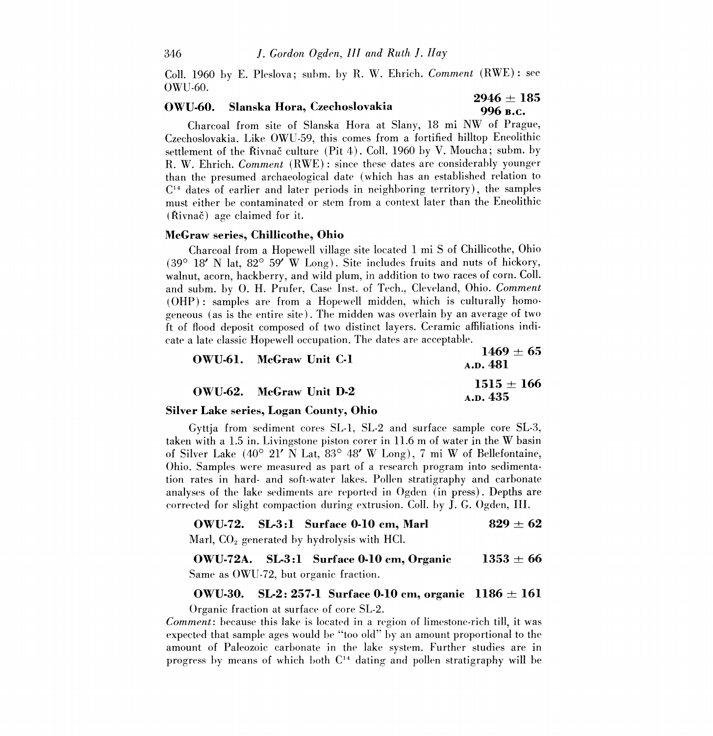Coll. 1960 by E. Pleslova; subm. by R. W. Ehrich. Comment (RWE) : see OWU-60.

# OWU-60. Slanska Hora, Czechoslovakia  $2946 \pm 185$ <br>996 B.C.

Charcoal from site of Slanska Hora at Slany, 18 mi NW of Prague, Czechoslovakia. Like OWU-59, this comes from a fortified hilltop Eneolithic settlement of the Řivnač culture (Pit 4). Coll. 1960 by V. Moucha; subm. by R. W. Ehrich. Comment (RWE) : since these dates are considerably younger than the presumed archaeological date (which has an established relation to  $C<sup>14</sup>$  dates of earlier and later periods in neighboring territory), the samples must either be contaminated or stem from a context later than the Eneolithic  $(\text{Rivnač})$  age claimed for it.

### McGraw series, Chillicothe, Ohio

Charcoal from a Hopewell village site located 1 mi S of Chillicothe, Ohio  $(39^{\circ}$  18' N lat,  $82^{\circ}$  59' W Long). Site includes fruits and nuts of hickory, walnut, acorn, hackberry, and wild plum, in addition to two races of corn. Coll. and subm. by 0. H. Prufer, Case Inst. of Tech., Cleveland, Ohio. Comment (OHP) : samples are from a Hopewell midden, which is culturally homogeneous (as is the entire site). The midden was overlain by an average of two ft of flood deposit composed of two distinct layers. Ceramic affiliations indicate a late classic Hopewell occupation. The dates are acceptable.

| OWU-61. McGraw Unit C-1 | $1469 + 65$<br>A.D. 481  |
|-------------------------|--------------------------|
| OWU-62. McGraw Unit D-2 | $1515 + 166$<br>A.p. 435 |

### Silver Lake series, Logan County, Ohio

Gyttja from sediment cores SL-l, SL-2 and surface sample core SL-3, taken with a 1.5 in. Livingstone piston corer in 11.6 m of water in the W basin of Silver Lake  $(40^{\circ}$  21' N Lat,  $83^{\circ}$  48' W Long), 7 mi W of Bellefontaine, Ohio. Samples were measured as part of a research program into sedimentation rates in hard- and soft-water lakes. Pollen stratigraphy and carbonate analyses of the lake sediments are reported in Ogden (in press). Depths are corrected for slight compaction during extrusion. Coll. by J. G. Ogden, III.

### OWU-72. SL-3:1 Surface 0-10 cm, Marl  $829 \pm 62$

Marl,  $CO<sub>2</sub>$  generated by hydrolysis with HCl.

**OWU-72A.** SL-3:1 Surface 0-10 cm, Organic  $1353 \pm 66$ Same as OWU-72, but organic fraction.

### OWU-30. SL-2: 257-1 Surface 0-10 cm, organic  $1186 \pm 161$

Organic fraction at surface of core SL-2.

Comment: because this lake is located in a region of limestone-rich till, it was expected that sample ages would be "too old" by an amount proportional to the amount of Paleozoic carbonate in the lake system. Further studies are in progress by means of which both  $C<sup>14</sup>$  dating and pollen stratigraphy will be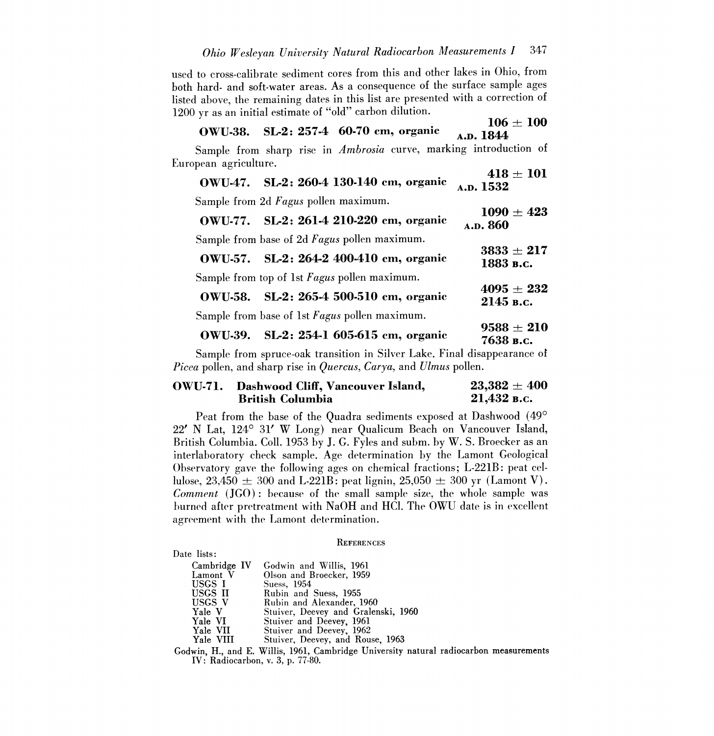used to cross-calibrate sediment cores from this and other lakes in Ohio, from both hard- and soft-water areas. As a consequence of the surface sample ages listed above, the remaining dates in this list are presented with a correction of 1200 yr as an initial estimate of "old" carbon dilution.

### $106 \pm 100$ <br>A.D. 1844 OWU-38. SL-2: 257-4 60-70 cm, organic

Sample from sharp rise in Ambrosia curve, marking introduction of European agriculture.

| $\cdots$<br>OWU-47. SL-2: 260-4 130-140 cm, organic   | $418 \pm 101$<br>A.D. 1532  |
|-------------------------------------------------------|-----------------------------|
| Sample from 2d Fagus pollen maximum.                  |                             |
| OWU-77. SL-2: 261-4 210-220 cm, organic               | $1090 \pm 423$<br>A.D. 860  |
| Sample from base of 2d Fagus pollen maximum.          |                             |
| OWU-57. SL-2: 264-2 400-410 cm, organic               | $3833 \pm 217$<br>1883 в.с. |
| Sample from top of 1st Fagus pollen maximum.          |                             |
| OWU-58. SL-2: 265-4 500-510 cm, organic               | $4095 \pm 232$<br>2145 в.с. |
| Sample from base of 1st Fagus pollen maximum.         |                             |
| $\alpha$ wittoo at o of 1 $\alpha$ f $\alpha$ $\beta$ | $9588 \pm 210$              |

OWU-39. SL-2:  $254-1$  605-615 cm, organic 7638 B.C.

Sample from spruce-oak transition in Silver Lake. Final disappearance of *Picea* pollen, and sharp rise in *Quercus*, *Carya*, and *Ulmus* pollen.

### OWU-71. Dashwood Cliff, Vancouver Island,  $23,382 \pm 400$ <br>British Columbia  $21.432$  B.c. **British Columbia**

Peat from the base of the Quadra sediments exposed at Dashwood (49° 22' N Lat, 124° 31' W Long) near Qualicum Beach on Vancouver Island, British Columbia. Coll. 1953 by J. G. Fyles and subm. by W. S. Broecker as an interlaboratory check sample. Age determination by the Lamont Geological Observatory gave the following ages on chemical fractions; L-221B: peat cellulose,  $23.450 \pm 300$  and L-221B: peat lignin,  $25,050 \pm 300$  yr (Lamont V). Comment (JGO) : because of the small sample size, the whole sample was burned after pretreatment with NaOH and HC1. The OWU date is in excellent agreement with the Lamont determination.

#### **REFERENCES**

### Date lists:

| Cambridge IV | Godwin and Willis, 1961                                                                                                                                                                                                                                                                                   |
|--------------|-----------------------------------------------------------------------------------------------------------------------------------------------------------------------------------------------------------------------------------------------------------------------------------------------------------|
| Lamont V     | Olson and Broecker, 1959                                                                                                                                                                                                                                                                                  |
| USGS I       | Suess. 1954                                                                                                                                                                                                                                                                                               |
| USGS II      | Rubin and Suess, 1955                                                                                                                                                                                                                                                                                     |
| USGS V       | Rubin and Alexander, 1960                                                                                                                                                                                                                                                                                 |
| Yale V       | Stuiver, Deevey and Gralenski, 1960                                                                                                                                                                                                                                                                       |
| Yale VI      | Stuiver and Deevey, 1961                                                                                                                                                                                                                                                                                  |
| Yale VII     | Stuiver and Deevey, 1962                                                                                                                                                                                                                                                                                  |
| Yale VIII    | Stuiver, Deevey, and Rouse, 1963                                                                                                                                                                                                                                                                          |
| .            | $\mathbf{v}$ , and a set of $\mathbf{v}$ , $\mathbf{v}$ , $\mathbf{v}$ , $\mathbf{v}$ , $\mathbf{v}$ , $\mathbf{v}$ , $\mathbf{v}$ , $\mathbf{v}$ , $\mathbf{v}$ , $\mathbf{v}$ , $\mathbf{v}$ , $\mathbf{v}$ , $\mathbf{v}$ , $\mathbf{v}$ , $\mathbf{v}$ , $\mathbf{v}$ , $\mathbf{v}$ , $\mathbf{v}$ , |

Godwin, H., and E. Willis, 1961, Cambridge University natural radiocarbon measurements IV: Radiocarbon, v. 3, p. 77-80.